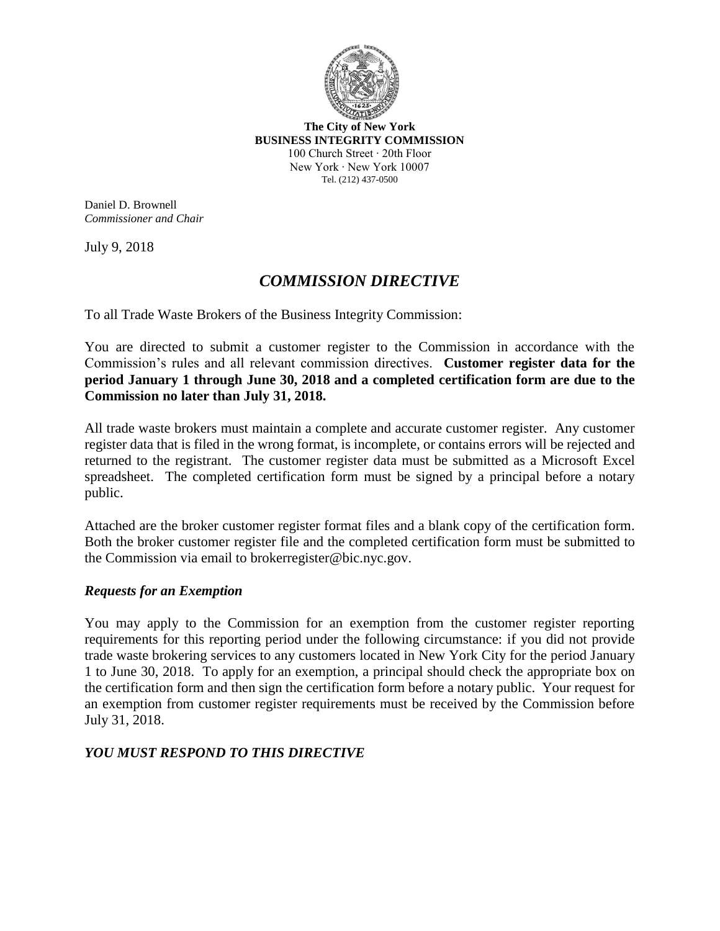

**The City of New York BUSINESS INTEGRITY COMMISSION** 100 Church Street ∙ 20th Floor New York ∙ New York 10007 Tel. (212) 437-0500

Daniel D. Brownell *Commissioner and Chair*

July 9, 2018

### *COMMISSION DIRECTIVE*

To all Trade Waste Brokers of the Business Integrity Commission:

You are directed to submit a customer register to the Commission in accordance with the Commission's rules and all relevant commission directives. **Customer register data for the period January 1 through June 30, 2018 and a completed certification form are due to the Commission no later than July 31, 2018.**

All trade waste brokers must maintain a complete and accurate customer register. Any customer register data that is filed in the wrong format, is incomplete, or contains errors will be rejected and returned to the registrant. The customer register data must be submitted as a Microsoft Excel spreadsheet. The completed certification form must be signed by a principal before a notary public.

Attached are the broker customer register format files and a blank copy of the certification form. Both the broker customer register file and the completed certification form must be submitted to the Commission via email to [brokerregister@bic.nyc.gov.](mailto:brokerregister@bic.nyc.gov)

#### *Requests for an Exemption*

You may apply to the Commission for an exemption from the customer register reporting requirements for this reporting period under the following circumstance: if you did not provide trade waste brokering services to any customers located in New York City for the period January 1 to June 30, 2018. To apply for an exemption, a principal should check the appropriate box on the certification form and then sign the certification form before a notary public. Your request for an exemption from customer register requirements must be received by the Commission before July 31, 2018.

#### *YOU MUST RESPOND TO THIS DIRECTIVE*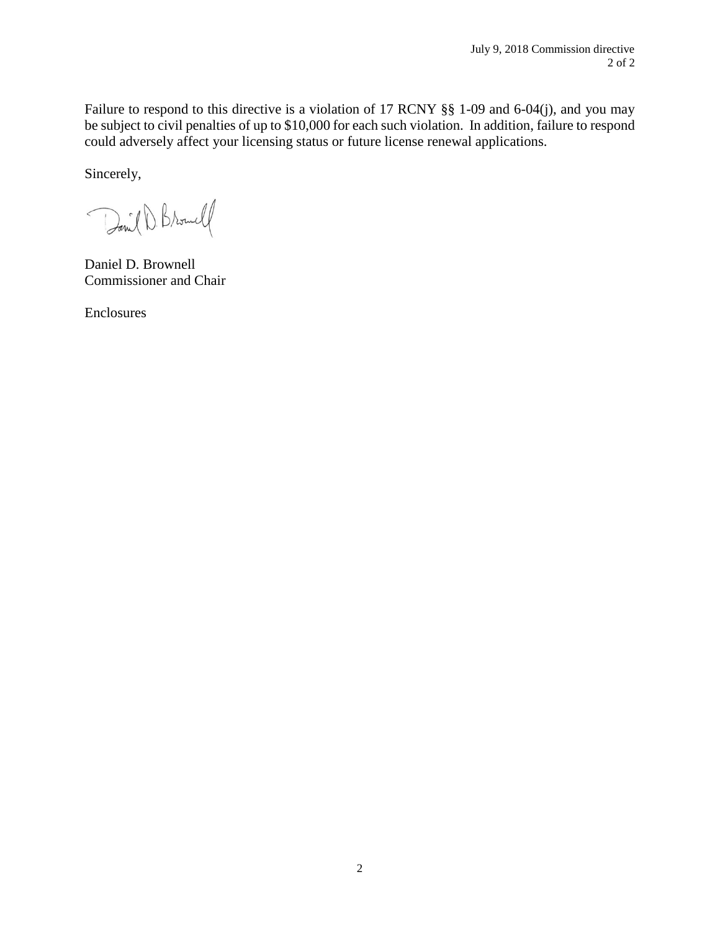Failure to respond to this directive is a violation of 17 RCNY §§ 1-09 and 6-04(j), and you may be subject to civil penalties of up to \$10,000 for each such violation. In addition, failure to respond could adversely affect your licensing status or future license renewal applications.

Sincerely,

David D. Browell

Daniel D. Brownell Commissioner and Chair

Enclosures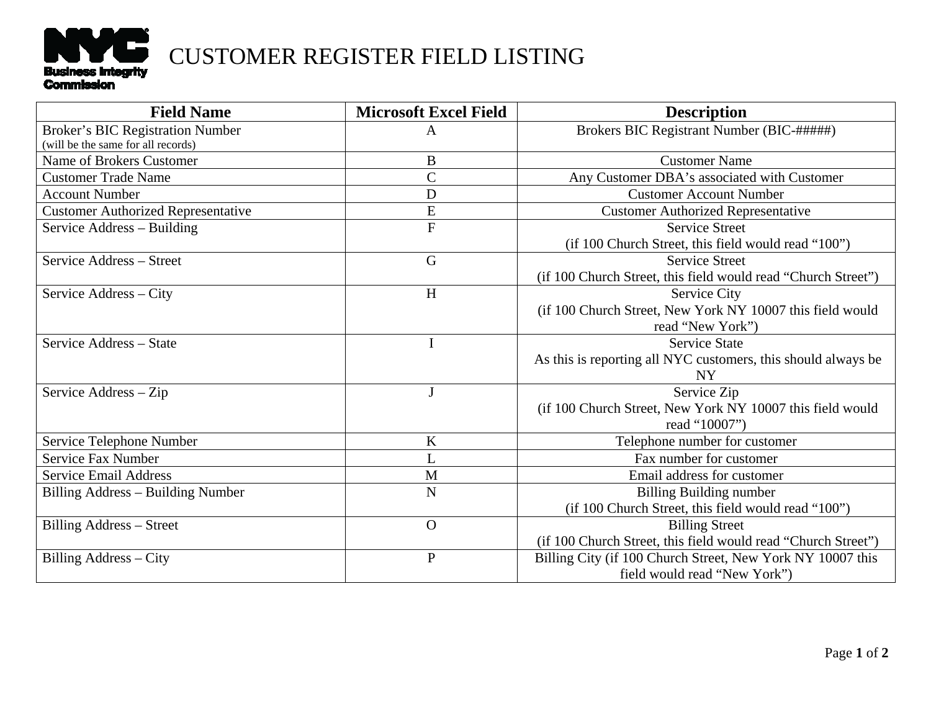

# CUSTOMER REGISTER FIELD LISTING

| <b>Field Name</b>                         | <b>Microsoft Excel Field</b> | <b>Description</b>                                            |
|-------------------------------------------|------------------------------|---------------------------------------------------------------|
| <b>Broker's BIC Registration Number</b>   | A                            | Brokers BIC Registrant Number (BIC-#####)                     |
| (will be the same for all records)        |                              |                                                               |
| Name of Brokers Customer                  | B                            | <b>Customer Name</b>                                          |
| <b>Customer Trade Name</b>                | $\overline{C}$               | Any Customer DBA's associated with Customer                   |
| <b>Account Number</b>                     | $\mathbf D$                  | <b>Customer Account Number</b>                                |
| <b>Customer Authorized Representative</b> | E                            | <b>Customer Authorized Representative</b>                     |
| Service Address - Building                | $\overline{F}$               | <b>Service Street</b>                                         |
|                                           |                              | (if 100 Church Street, this field would read "100")           |
| Service Address – Street                  | G                            | <b>Service Street</b>                                         |
|                                           |                              | (if 100 Church Street, this field would read "Church Street") |
| Service Address – City                    | H                            | Service City                                                  |
|                                           |                              | (if 100 Church Street, New York NY 10007 this field would     |
|                                           |                              | read "New York")                                              |
| Service Address - State                   | $\mathbf I$                  | <b>Service State</b>                                          |
|                                           |                              | As this is reporting all NYC customers, this should always be |
|                                           |                              | <b>NY</b>                                                     |
| Service Address - Zip                     | J                            | Service Zip                                                   |
|                                           |                              | (if 100 Church Street, New York NY 10007 this field would     |
|                                           |                              | read "10007")                                                 |
| Service Telephone Number                  | K                            | Telephone number for customer                                 |
| Service Fax Number                        | L                            | Fax number for customer                                       |
| <b>Service Email Address</b>              | M                            | Email address for customer                                    |
| Billing Address – Building Number         | N                            | <b>Billing Building number</b>                                |
|                                           |                              | (if 100 Church Street, this field would read "100")           |
| <b>Billing Address - Street</b>           | $\Omega$                     | <b>Billing Street</b>                                         |
|                                           |                              | (if 100 Church Street, this field would read "Church Street") |
| <b>Billing Address - City</b>             | $\overline{P}$               | Billing City (if 100 Church Street, New York NY 10007 this    |
|                                           |                              | field would read "New York")                                  |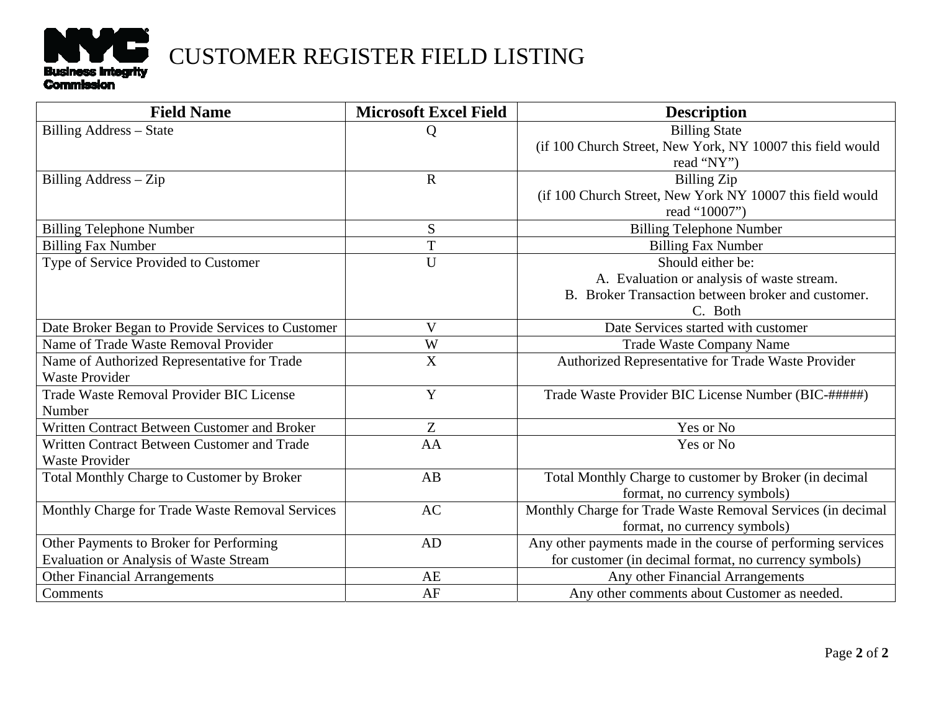

# CUSTOMER REGISTER FIELD LISTING

| <b>Field Name</b>                                 | <b>Microsoft Excel Field</b> | <b>Description</b>                                           |
|---------------------------------------------------|------------------------------|--------------------------------------------------------------|
| Billing Address - State                           | Q                            | <b>Billing State</b>                                         |
|                                                   |                              | (if 100 Church Street, New York, NY 10007 this field would   |
|                                                   |                              | read "NY")                                                   |
| Billing $Address - Zip$                           | $\mathbf R$                  | <b>Billing Zip</b>                                           |
|                                                   |                              | (if 100 Church Street, New York NY 10007 this field would    |
|                                                   |                              | read "10007")                                                |
| <b>Billing Telephone Number</b>                   | S                            | <b>Billing Telephone Number</b>                              |
| <b>Billing Fax Number</b>                         | T                            | <b>Billing Fax Number</b>                                    |
| Type of Service Provided to Customer              | $\overline{U}$               | Should either be:                                            |
|                                                   |                              | A. Evaluation or analysis of waste stream.                   |
|                                                   |                              | B. Broker Transaction between broker and customer.           |
|                                                   |                              | C. Both                                                      |
| Date Broker Began to Provide Services to Customer | $\overline{\mathsf{V}}$      | Date Services started with customer                          |
| Name of Trade Waste Removal Provider              | W                            | Trade Waste Company Name                                     |
| Name of Authorized Representative for Trade       | X                            | Authorized Representative for Trade Waste Provider           |
| <b>Waste Provider</b>                             |                              |                                                              |
| Trade Waste Removal Provider BIC License          | Y                            | Trade Waste Provider BIC License Number (BIC-#####)          |
| Number                                            |                              |                                                              |
| Written Contract Between Customer and Broker      | Z                            | Yes or No                                                    |
| Written Contract Between Customer and Trade       | AA                           | Yes or No                                                    |
| <b>Waste Provider</b>                             |                              |                                                              |
| Total Monthly Charge to Customer by Broker        | AB                           | Total Monthly Charge to customer by Broker (in decimal       |
|                                                   |                              | format, no currency symbols)                                 |
| Monthly Charge for Trade Waste Removal Services   | <b>AC</b>                    | Monthly Charge for Trade Waste Removal Services (in decimal  |
|                                                   |                              | format, no currency symbols)                                 |
| Other Payments to Broker for Performing           | <b>AD</b>                    | Any other payments made in the course of performing services |
| Evaluation or Analysis of Waste Stream            |                              | for customer (in decimal format, no currency symbols)        |
| <b>Other Financial Arrangements</b>               | AE                           | Any other Financial Arrangements                             |
| Comments                                          | AF                           | Any other comments about Customer as needed.                 |